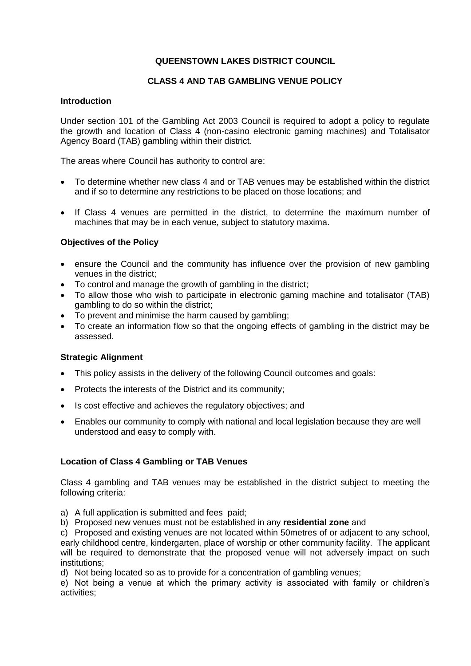# **QUEENSTOWN LAKES DISTRICT COUNCIL**

### **CLASS 4 AND TAB GAMBLING VENUE POLICY**

### **Introduction**

Under section 101 of the Gambling Act 2003 Council is required to adopt a policy to regulate the growth and location of Class 4 (non-casino electronic gaming machines) and Totalisator Agency Board (TAB) gambling within their district.

The areas where Council has authority to control are:

- To determine whether new class 4 and or TAB venues may be established within the district and if so to determine any restrictions to be placed on those locations; and
- If Class 4 venues are permitted in the district, to determine the maximum number of machines that may be in each venue, subject to statutory maxima.

### **Objectives of the Policy**

- ensure the Council and the community has influence over the provision of new gambling venues in the district;
- To control and manage the growth of gambling in the district;
- To allow those who wish to participate in electronic gaming machine and totalisator (TAB) gambling to do so within the district;
- To prevent and minimise the harm caused by gambling;
- To create an information flow so that the ongoing effects of gambling in the district may be assessed.

#### **Strategic Alignment**

- This policy assists in the delivery of the following Council outcomes and goals:
- Protects the interests of the District and its community;
- Is cost effective and achieves the regulatory objectives; and
- Enables our community to comply with national and local legislation because they are well understood and easy to comply with.

### **Location of Class 4 Gambling or TAB Venues**

Class 4 gambling and TAB venues may be established in the district subject to meeting the following criteria:

- a) A full application is submitted and fees paid;
- b) Proposed new venues must not be established in any **residential zone** and

c) Proposed and existing venues are not located within 50metres of or adjacent to any school, early childhood centre, kindergarten, place of worship or other community facility. The applicant will be required to demonstrate that the proposed venue will not adversely impact on such institutions;

d) Not being located so as to provide for a concentration of gambling venues;

e) Not being a venue at which the primary activity is associated with family or children's activities;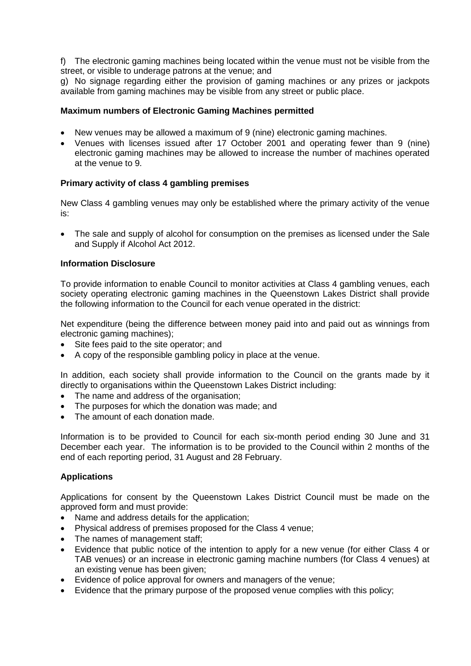f) The electronic gaming machines being located within the venue must not be visible from the street, or visible to underage patrons at the venue; and

g) No signage regarding either the provision of gaming machines or any prizes or jackpots available from gaming machines may be visible from any street or public place.

### **Maximum numbers of Electronic Gaming Machines permitted**

- New venues may be allowed a maximum of 9 (nine) electronic gaming machines.
- Venues with licenses issued after 17 October 2001 and operating fewer than 9 (nine) electronic gaming machines may be allowed to increase the number of machines operated at the venue to 9.

### **Primary activity of class 4 gambling premises**

New Class 4 gambling venues may only be established where the primary activity of the venue is:

 The sale and supply of alcohol for consumption on the premises as licensed under the Sale and Supply if Alcohol Act 2012.

#### **Information Disclosure**

To provide information to enable Council to monitor activities at Class 4 gambling venues, each society operating electronic gaming machines in the Queenstown Lakes District shall provide the following information to the Council for each venue operated in the district:

Net expenditure (being the difference between money paid into and paid out as winnings from electronic gaming machines);

- Site fees paid to the site operator; and
- A copy of the responsible gambling policy in place at the venue.

In addition, each society shall provide information to the Council on the grants made by it directly to organisations within the Queenstown Lakes District including:

- The name and address of the organisation;
- The purposes for which the donation was made; and
- The amount of each donation made.

Information is to be provided to Council for each six-month period ending 30 June and 31 December each year. The information is to be provided to the Council within 2 months of the end of each reporting period, 31 August and 28 February.

### **Applications**

Applications for consent by the Queenstown Lakes District Council must be made on the approved form and must provide:

- Name and address details for the application;
- Physical address of premises proposed for the Class 4 venue;
- The names of management staff;
- Evidence that public notice of the intention to apply for a new venue (for either Class 4 or TAB venues) or an increase in electronic gaming machine numbers (for Class 4 venues) at an existing venue has been given;
- Evidence of police approval for owners and managers of the venue;
- Evidence that the primary purpose of the proposed venue complies with this policy;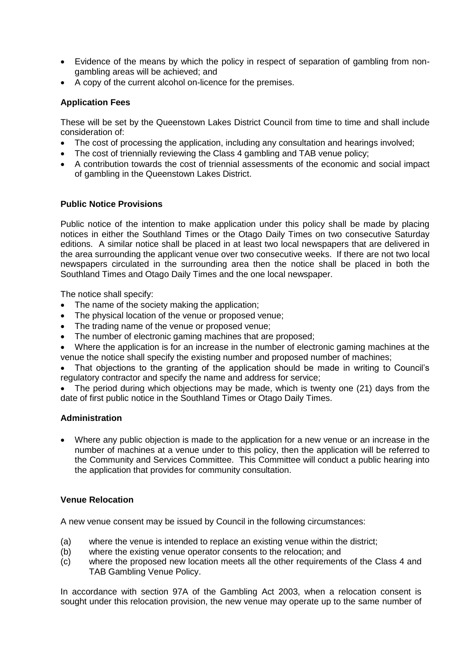- Evidence of the means by which the policy in respect of separation of gambling from nongambling areas will be achieved; and
- A copy of the current alcohol on-licence for the premises.

# **Application Fees**

These will be set by the Queenstown Lakes District Council from time to time and shall include consideration of:

- The cost of processing the application, including any consultation and hearings involved;
- The cost of triennially reviewing the Class 4 gambling and TAB venue policy;
- A contribution towards the cost of triennial assessments of the economic and social impact of gambling in the Queenstown Lakes District.

# **Public Notice Provisions**

Public notice of the intention to make application under this policy shall be made by placing notices in either the Southland Times or the Otago Daily Times on two consecutive Saturday editions. A similar notice shall be placed in at least two local newspapers that are delivered in the area surrounding the applicant venue over two consecutive weeks. If there are not two local newspapers circulated in the surrounding area then the notice shall be placed in both the Southland Times and Otago Daily Times and the one local newspaper.

The notice shall specify:

- The name of the society making the application;
- The physical location of the venue or proposed venue;
- The trading name of the venue or proposed venue;
- The number of electronic gaming machines that are proposed;
- Where the application is for an increase in the number of electronic gaming machines at the venue the notice shall specify the existing number and proposed number of machines;
- That objections to the granting of the application should be made in writing to Council's regulatory contractor and specify the name and address for service;
- The period during which objections may be made, which is twenty one (21) days from the date of first public notice in the Southland Times or Otago Daily Times.

### **Administration**

 Where any public objection is made to the application for a new venue or an increase in the number of machines at a venue under to this policy, then the application will be referred to the Community and Services Committee. This Committee will conduct a public hearing into the application that provides for community consultation.

### **Venue Relocation**

A new venue consent may be issued by Council in the following circumstances:

- (a) where the venue is intended to replace an existing venue within the district;
- (b) where the existing venue operator consents to the relocation; and
- (c) where the proposed new location meets all the other requirements of the Class 4 and TAB Gambling Venue Policy.

In accordance with section 97A of the Gambling Act 2003, when a relocation consent is sought under this relocation provision, the new venue may operate up to the same number of